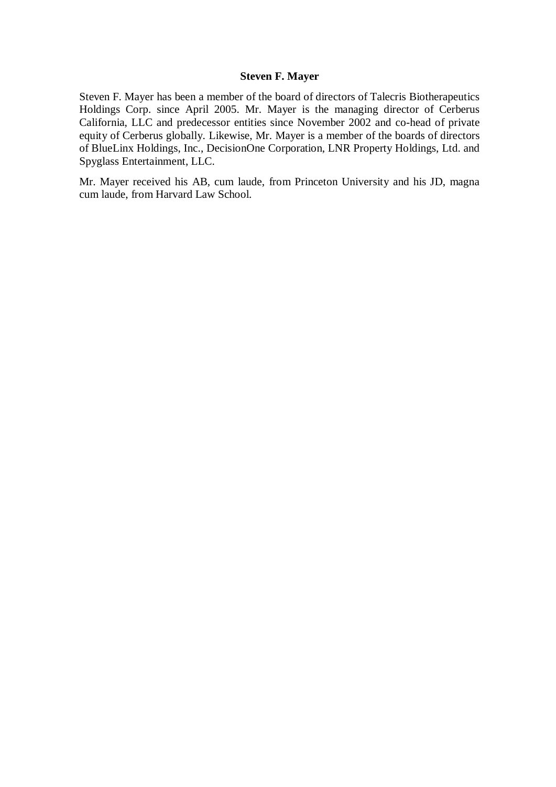## **Steven F. Mayer**

Steven F. Mayer has been a member of the board of directors of Talecris Biotherapeutics Holdings Corp. since April 2005. Mr. Mayer is the managing director of Cerberus California, LLC and predecessor entities since November 2002 and co-head of private equity of Cerberus globally. Likewise, Mr. Mayer is a member of the boards of directors of BlueLinx Holdings, Inc., DecisionOne Corporation, LNR Property Holdings, Ltd. and Spyglass Entertainment, LLC.

Mr. Mayer received his AB, cum laude, from Princeton University and his JD, magna cum laude, from Harvard Law School.